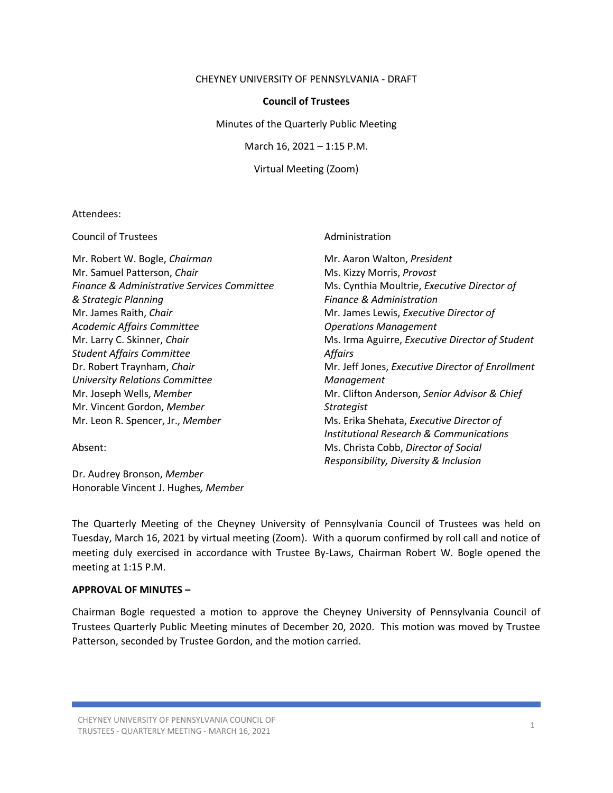#### CHEYNEY UNIVERSITY OF PENNSYLVANIA - DRAFT

## **Council of Trustees**

Minutes of the Quarterly Public Meeting

March 16, 2021 – 1:15 P.M.

Virtual Meeting (Zoom)

### Attendees:

Council of Trustees **Administration** 

Mr. Robert W. Bogle, *Chairman* Mr. Aaron Walton, *President* Mr. Samuel Patterson, *Chair* Mus. Kizzy Morris, *Provost Ms. Kizzy Morris, Provost Finance & Administrative Services Committee* Ms. Cynthia Moultrie, *Executive Director of & Strategic Planning Finance & Administration* Mr. James Raith, *Chair* Mr. James Lewis, *Executive Director of Academic Affairs Committee Operations Management Student Affairs Committee Affairs University Relations Committee Management* Mr. Vincent Gordon, *Member Strategist*

Dr. Audrey Bronson, *Member* Honorable Vincent J. Hughes*, Member*

Mr. Larry C. Skinner, *Chair* **Mr. Larry C. Skinner,** *Chair* Ms. Irma Aguirre, *Executive Director of Student* Dr. Robert Traynham, *Chair* Music Chair Mr. Jeff Jones, *Executive Director of Enrollment* Mr. Joseph Wells, *Member* Mr. Clifton Anderson, *Senior Advisor & Chief* Mr. Leon R. Spencer, Jr., *Member* MS. Erika Shehata, *Executive Director of Institutional Research & Communications* Absent: Ms. Christa Cobb, *Director of Social Responsibility, Diversity & Inclusion*

The Quarterly Meeting of the Cheyney University of Pennsylvania Council of Trustees was held on Tuesday, March 16, 2021 by virtual meeting (Zoom). With a quorum confirmed by roll call and notice of meeting duly exercised in accordance with Trustee By-Laws, Chairman Robert W. Bogle opened the meeting at 1:15 P.M.

## **APPROVAL OF MINUTES –**

Chairman Bogle requested a motion to approve the Cheyney University of Pennsylvania Council of Trustees Quarterly Public Meeting minutes of December 20, 2020. This motion was moved by Trustee Patterson, seconded by Trustee Gordon, and the motion carried.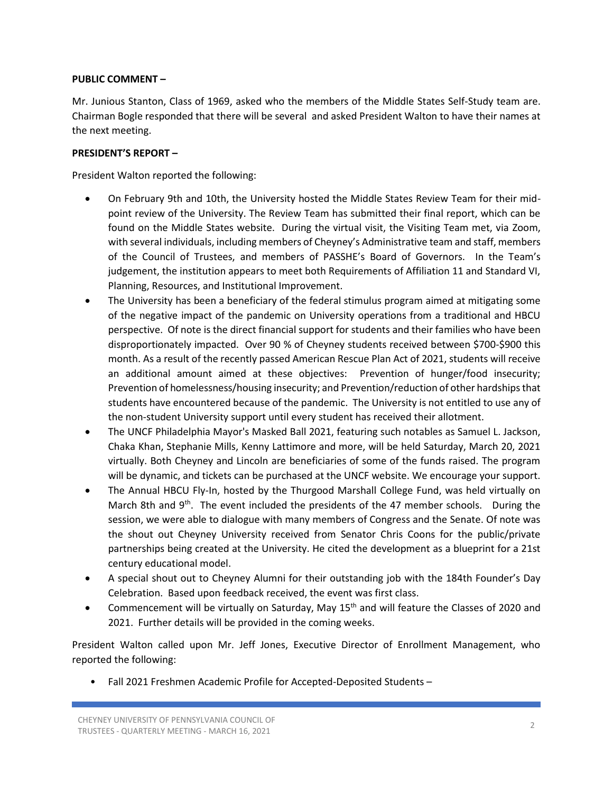## **PUBLIC COMMENT –**

Mr. Junious Stanton, Class of 1969, asked who the members of the Middle States Self-Study team are. Chairman Bogle responded that there will be several and asked President Walton to have their names at the next meeting.

## **PRESIDENT'S REPORT –**

President Walton reported the following:

- On February 9th and 10th, the University hosted the Middle States Review Team for their midpoint review of the University. The Review Team has submitted their final report, which can be found on the Middle States website. During the virtual visit, the Visiting Team met, via Zoom, with several individuals, including members of Cheyney's Administrative team and staff, members of the Council of Trustees, and members of PASSHE's Board of Governors. In the Team's judgement, the institution appears to meet both Requirements of Affiliation 11 and Standard VI, Planning, Resources, and Institutional Improvement.
- The University has been a beneficiary of the federal stimulus program aimed at mitigating some of the negative impact of the pandemic on University operations from a traditional and HBCU perspective. Of note is the direct financial support for students and their families who have been disproportionately impacted. Over 90 % of Cheyney students received between \$700-\$900 this month. As a result of the recently passed American Rescue Plan Act of 2021, students will receive an additional amount aimed at these objectives: Prevention of hunger/food insecurity; Prevention of homelessness/housing insecurity; and Prevention/reduction of other hardships that students have encountered because of the pandemic. The University is not entitled to use any of the non-student University support until every student has received their allotment.
- The UNCF Philadelphia Mayor's Masked Ball 2021, featuring such notables as Samuel L. Jackson, Chaka Khan, Stephanie Mills, Kenny Lattimore and more, will be held Saturday, March 20, 2021 virtually. Both Cheyney and Lincoln are beneficiaries of some of the funds raised. The program will be dynamic, and tickets can be purchased at the UNCF website. We encourage your support.
- The Annual HBCU Fly-In, hosted by the Thurgood Marshall College Fund, was held virtually on March 8th and 9<sup>th</sup>. The event included the presidents of the 47 member schools. During the session, we were able to dialogue with many members of Congress and the Senate. Of note was the shout out Cheyney University received from Senator Chris Coons for the public/private partnerships being created at the University. He cited the development as a blueprint for a 21st century educational model.
- A special shout out to Cheyney Alumni for their outstanding job with the 184th Founder's Day Celebration. Based upon feedback received, the event was first class.
- Commencement will be virtually on Saturday, May 15th and will feature the Classes of 2020 and 2021. Further details will be provided in the coming weeks.

President Walton called upon Mr. Jeff Jones, Executive Director of Enrollment Management, who reported the following:

• Fall 2021 Freshmen Academic Profile for Accepted-Deposited Students –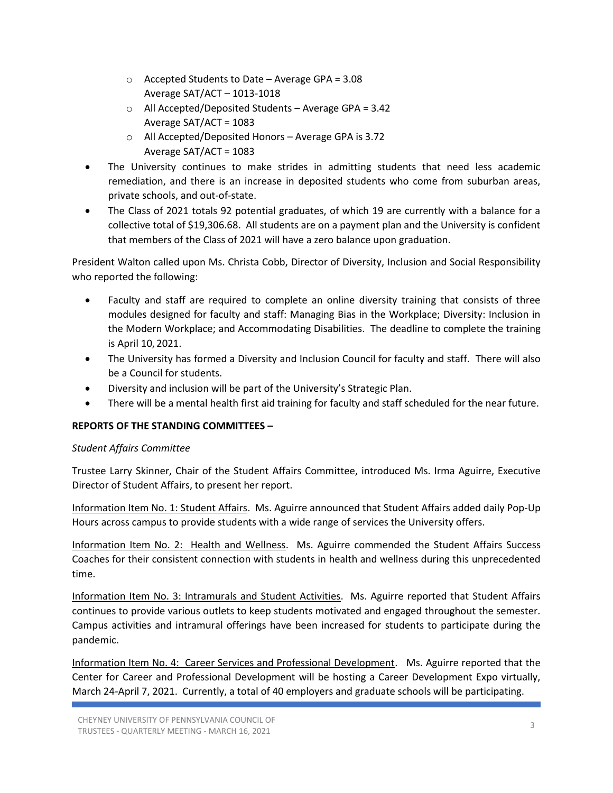- o Accepted Students to Date Average GPA = 3.08 Average SAT/ACT – 1013-1018
- $\circ$  All Accepted/Deposited Students Average GPA = 3.42 Average SAT/ACT = 1083
- o All Accepted/Deposited Honors Average GPA is 3.72 Average SAT/ACT = 1083
- The University continues to make strides in admitting students that need less academic remediation, and there is an increase in deposited students who come from suburban areas, private schools, and out-of-state.
- The Class of 2021 totals 92 potential graduates, of which 19 are currently with a balance for a collective total of \$19,306.68. All students are on a payment plan and the University is confident that members of the Class of 2021 will have a zero balance upon graduation.

President Walton called upon Ms. Christa Cobb, Director of Diversity, Inclusion and Social Responsibility who reported the following:

- Faculty and staff are required to complete an online diversity training that consists of three modules designed for faculty and staff: Managing Bias in the Workplace; Diversity: Inclusion in the Modern Workplace; and Accommodating Disabilities. The deadline to complete the training is April 10, 2021.
- The University has formed a Diversity and Inclusion Council for faculty and staff. There will also be a Council for students.
- Diversity and inclusion will be part of the University's Strategic Plan.
- There will be a mental health first aid training for faculty and staff scheduled for the near future.

# **REPORTS OF THE STANDING COMMITTEES –**

# *Student Affairs Committee*

Trustee Larry Skinner, Chair of the Student Affairs Committee, introduced Ms. Irma Aguirre, Executive Director of Student Affairs, to present her report.

Information Item No. 1: Student Affairs. Ms. Aguirre announced that Student Affairs added daily Pop-Up Hours across campus to provide students with a wide range of services the University offers.

Information Item No. 2: Health and Wellness. Ms. Aguirre commended the Student Affairs Success Coaches for their consistent connection with students in health and wellness during this unprecedented time.

Information Item No. 3: Intramurals and Student Activities. Ms. Aguirre reported that Student Affairs continues to provide various outlets to keep students motivated and engaged throughout the semester. Campus activities and intramural offerings have been increased for students to participate during the pandemic.

Information Item No. 4: Career Services and Professional Development. Ms. Aguirre reported that the Center for Career and Professional Development will be hosting a Career Development Expo virtually, March 24-April 7, 2021. Currently, a total of 40 employers and graduate schools will be participating.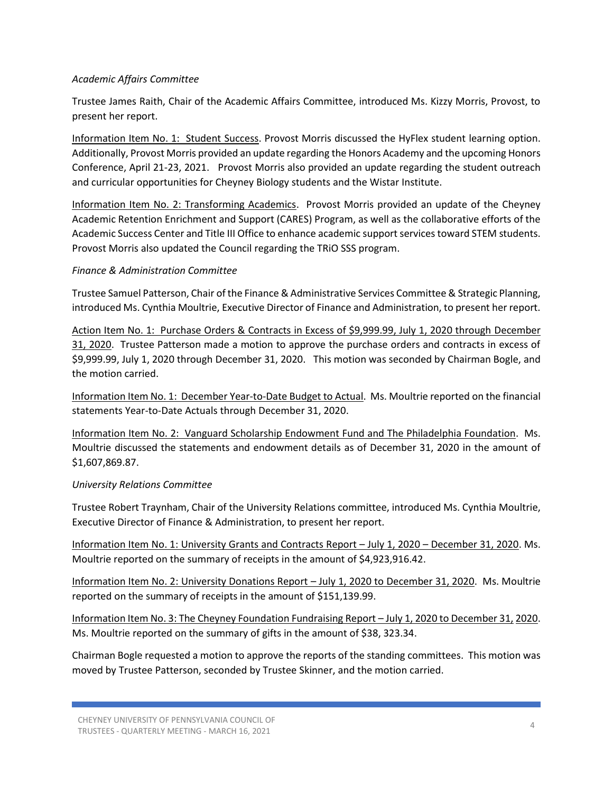## *Academic Affairs Committee*

Trustee James Raith, Chair of the Academic Affairs Committee, introduced Ms. Kizzy Morris, Provost, to present her report.

Information Item No. 1: Student Success. Provost Morris discussed the HyFlex student learning option. Additionally, Provost Morris provided an update regarding the Honors Academy and the upcoming Honors Conference, April 21-23, 2021. Provost Morris also provided an update regarding the student outreach and curricular opportunities for Cheyney Biology students and the Wistar Institute.

Information Item No. 2: Transforming Academics. Provost Morris provided an update of the Cheyney Academic Retention Enrichment and Support (CARES) Program, as well as the collaborative efforts of the Academic Success Center and Title III Office to enhance academic support services toward STEM students. Provost Morris also updated the Council regarding the TRiO SSS program.

## *Finance & Administration Committee*

Trustee Samuel Patterson, Chair of the Finance & Administrative Services Committee & Strategic Planning, introduced Ms. Cynthia Moultrie, Executive Director of Finance and Administration, to present her report.

Action Item No. 1: Purchase Orders & Contracts in Excess of \$9,999.99, July 1, 2020 through December 31, 2020. Trustee Patterson made a motion to approve the purchase orders and contracts in excess of \$9,999.99, July 1, 2020 through December 31, 2020. This motion was seconded by Chairman Bogle, and the motion carried.

Information Item No. 1: December Year-to-Date Budget to Actual. Ms. Moultrie reported on the financial statements Year-to-Date Actuals through December 31, 2020.

Information Item No. 2: Vanguard Scholarship Endowment Fund and The Philadelphia Foundation. Ms. Moultrie discussed the statements and endowment details as of December 31, 2020 in the amount of \$1,607,869.87.

## *University Relations Committee*

Trustee Robert Traynham, Chair of the University Relations committee, introduced Ms. Cynthia Moultrie, Executive Director of Finance & Administration, to present her report.

Information Item No. 1: University Grants and Contracts Report – July 1, 2020 – December 31, 2020. Ms. Moultrie reported on the summary of receipts in the amount of \$4,923,916.42.

Information Item No. 2: University Donations Report – July 1, 2020 to December 31, 2020. Ms. Moultrie reported on the summary of receipts in the amount of \$151,139.99.

Information Item No. 3: The Cheyney Foundation Fundraising Report – July 1, 2020 to December 31, 2020. Ms. Moultrie reported on the summary of gifts in the amount of \$38, 323.34.

Chairman Bogle requested a motion to approve the reports of the standing committees. This motion was moved by Trustee Patterson, seconded by Trustee Skinner, and the motion carried.